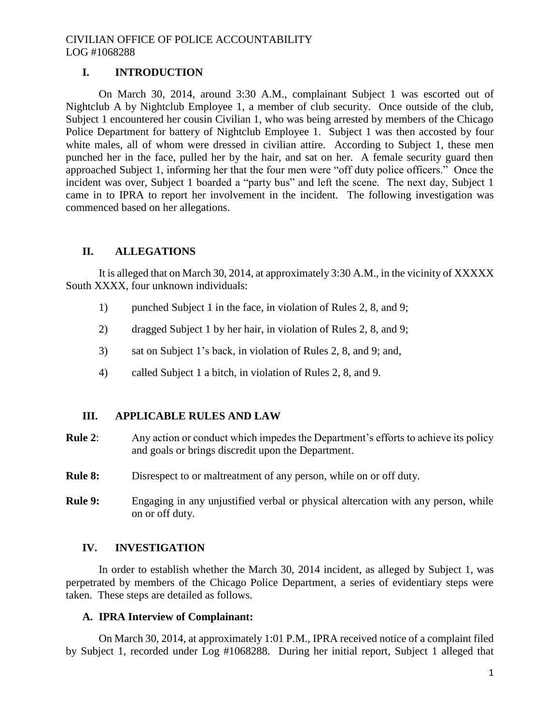# **I. INTRODUCTION**

On March 30, 2014, around 3:30 A.M., complainant Subject 1 was escorted out of Nightclub A by Nightclub Employee 1, a member of club security. Once outside of the club, Subject 1 encountered her cousin Civilian 1, who was being arrested by members of the Chicago Police Department for battery of Nightclub Employee 1. Subject 1 was then accosted by four white males, all of whom were dressed in civilian attire. According to Subject 1, these men punched her in the face, pulled her by the hair, and sat on her. A female security guard then approached Subject 1, informing her that the four men were "off duty police officers." Once the incident was over, Subject 1 boarded a "party bus" and left the scene. The next day, Subject 1 came in to IPRA to report her involvement in the incident. The following investigation was commenced based on her allegations.

## **II. ALLEGATIONS**

It is alleged that on March 30, 2014, at approximately 3:30 A.M., in the vicinity of XXXXX South XXXX, four unknown individuals:

- 1) punched Subject 1 in the face, in violation of Rules 2, 8, and 9;
- 2) dragged Subject 1 by her hair, in violation of Rules 2, 8, and 9;
- 3) sat on Subject 1's back, in violation of Rules 2, 8, and 9; and,
- 4) called Subject 1 a bitch, in violation of Rules 2, 8, and 9.

# **III. APPLICABLE RULES AND LAW**

- **Rule 2**: Any action or conduct which impedes the Department's efforts to achieve its policy and goals or brings discredit upon the Department.
- **Rule 8:** Disrespect to or maltreatment of any person, while on or off duty.
- **Rule 9:** Engaging in any unjustified verbal or physical altercation with any person, while on or off duty.

### **IV. INVESTIGATION**

In order to establish whether the March 30, 2014 incident, as alleged by Subject 1, was perpetrated by members of the Chicago Police Department, a series of evidentiary steps were taken. These steps are detailed as follows.

### **A. IPRA Interview of Complainant:**

On March 30, 2014, at approximately 1:01 P.M., IPRA received notice of a complaint filed by Subject 1, recorded under Log #1068288. During her initial report, Subject 1 alleged that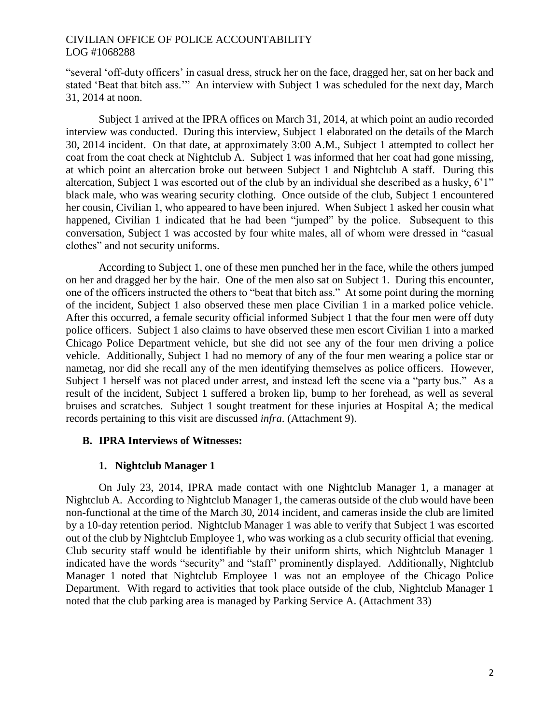"several 'off-duty officers' in casual dress, struck her on the face, dragged her, sat on her back and stated 'Beat that bitch ass.'" An interview with Subject 1 was scheduled for the next day, March 31, 2014 at noon.

Subject 1 arrived at the IPRA offices on March 31, 2014, at which point an audio recorded interview was conducted. During this interview, Subject 1 elaborated on the details of the March 30, 2014 incident. On that date, at approximately 3:00 A.M., Subject 1 attempted to collect her coat from the coat check at Nightclub A. Subject 1 was informed that her coat had gone missing, at which point an altercation broke out between Subject 1 and Nightclub A staff. During this altercation, Subject 1 was escorted out of the club by an individual she described as a husky, 6'1" black male, who was wearing security clothing. Once outside of the club, Subject 1 encountered her cousin, Civilian 1, who appeared to have been injured. When Subject 1 asked her cousin what happened, Civilian 1 indicated that he had been "jumped" by the police. Subsequent to this conversation, Subject 1 was accosted by four white males, all of whom were dressed in "casual clothes" and not security uniforms.

According to Subject 1, one of these men punched her in the face, while the others jumped on her and dragged her by the hair. One of the men also sat on Subject 1. During this encounter, one of the officers instructed the others to "beat that bitch ass." At some point during the morning of the incident, Subject 1 also observed these men place Civilian 1 in a marked police vehicle. After this occurred, a female security official informed Subject 1 that the four men were off duty police officers. Subject 1 also claims to have observed these men escort Civilian 1 into a marked Chicago Police Department vehicle, but she did not see any of the four men driving a police vehicle. Additionally, Subject 1 had no memory of any of the four men wearing a police star or nametag, nor did she recall any of the men identifying themselves as police officers. However, Subject 1 herself was not placed under arrest, and instead left the scene via a "party bus." As a result of the incident, Subject 1 suffered a broken lip, bump to her forehead, as well as several bruises and scratches. Subject 1 sought treatment for these injuries at Hospital A; the medical records pertaining to this visit are discussed *infra*. (Attachment 9).

# **B. IPRA Interviews of Witnesses:**

# **1. Nightclub Manager 1**

On July 23, 2014, IPRA made contact with one Nightclub Manager 1, a manager at Nightclub A. According to Nightclub Manager 1, the cameras outside of the club would have been non-functional at the time of the March 30, 2014 incident, and cameras inside the club are limited by a 10-day retention period. Nightclub Manager 1 was able to verify that Subject 1 was escorted out of the club by Nightclub Employee 1, who was working as a club security official that evening. Club security staff would be identifiable by their uniform shirts, which Nightclub Manager 1 indicated have the words "security" and "staff" prominently displayed. Additionally, Nightclub Manager 1 noted that Nightclub Employee 1 was not an employee of the Chicago Police Department. With regard to activities that took place outside of the club, Nightclub Manager 1 noted that the club parking area is managed by Parking Service A. (Attachment 33)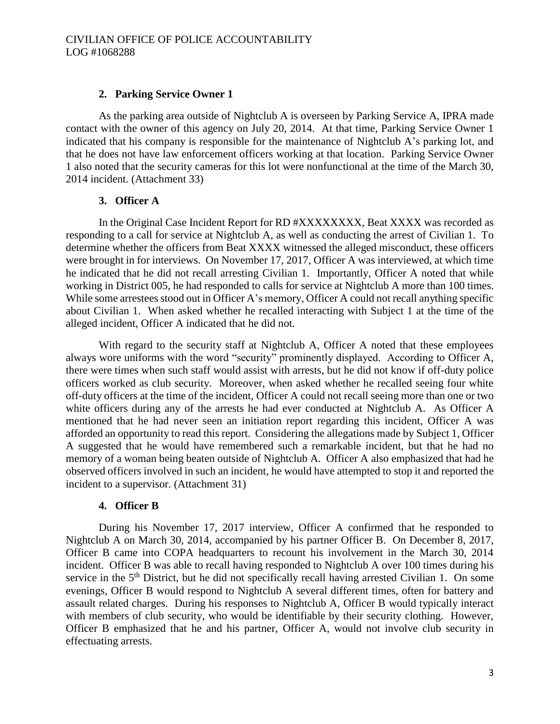### **2. Parking Service Owner 1**

As the parking area outside of Nightclub A is overseen by Parking Service A, IPRA made contact with the owner of this agency on July 20, 2014. At that time, Parking Service Owner 1 indicated that his company is responsible for the maintenance of Nightclub A's parking lot, and that he does not have law enforcement officers working at that location. Parking Service Owner 1 also noted that the security cameras for this lot were nonfunctional at the time of the March 30, 2014 incident. (Attachment 33)

#### **3. Officer A**

In the Original Case Incident Report for RD #XXXXXXXX, Beat XXXX was recorded as responding to a call for service at Nightclub A, as well as conducting the arrest of Civilian 1. To determine whether the officers from Beat XXXX witnessed the alleged misconduct, these officers were brought in for interviews. On November 17, 2017, Officer A was interviewed, at which time he indicated that he did not recall arresting Civilian 1. Importantly, Officer A noted that while working in District 005, he had responded to calls for service at Nightclub A more than 100 times. While some arrestees stood out in Officer A's memory, Officer A could not recall anything specific about Civilian 1. When asked whether he recalled interacting with Subject 1 at the time of the alleged incident, Officer A indicated that he did not.

With regard to the security staff at Nightclub A, Officer A noted that these employees always wore uniforms with the word "security" prominently displayed. According to Officer A, there were times when such staff would assist with arrests, but he did not know if off-duty police officers worked as club security. Moreover, when asked whether he recalled seeing four white off-duty officers at the time of the incident, Officer A could not recall seeing more than one or two white officers during any of the arrests he had ever conducted at Nightclub A. As Officer A mentioned that he had never seen an initiation report regarding this incident, Officer A was afforded an opportunity to read this report. Considering the allegations made by Subject 1, Officer A suggested that he would have remembered such a remarkable incident, but that he had no memory of a woman being beaten outside of Nightclub A. Officer A also emphasized that had he observed officers involved in such an incident, he would have attempted to stop it and reported the incident to a supervisor. (Attachment 31)

#### **4. Officer B**

During his November 17, 2017 interview, Officer A confirmed that he responded to Nightclub A on March 30, 2014, accompanied by his partner Officer B. On December 8, 2017, Officer B came into COPA headquarters to recount his involvement in the March 30, 2014 incident. Officer B was able to recall having responded to Nightclub A over 100 times during his service in the 5<sup>th</sup> District, but he did not specifically recall having arrested Civilian 1. On some evenings, Officer B would respond to Nightclub A several different times, often for battery and assault related charges. During his responses to Nightclub A, Officer B would typically interact with members of club security, who would be identifiable by their security clothing. However, Officer B emphasized that he and his partner, Officer A, would not involve club security in effectuating arrests.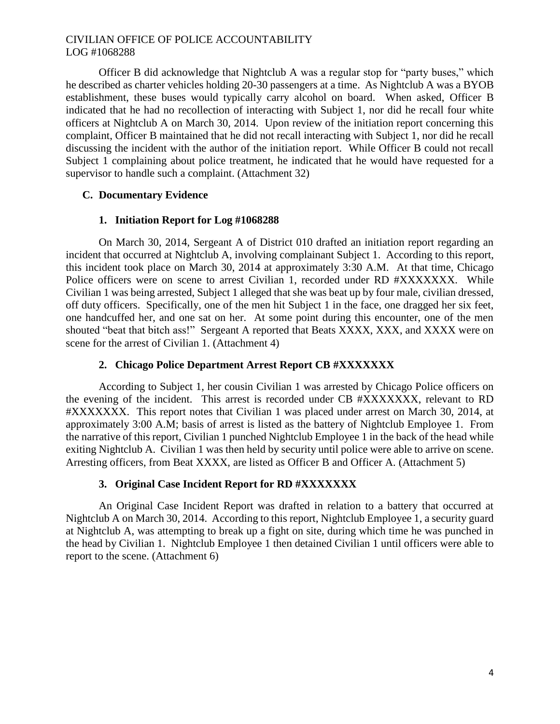Officer B did acknowledge that Nightclub A was a regular stop for "party buses," which he described as charter vehicles holding 20-30 passengers at a time. As Nightclub A was a BYOB establishment, these buses would typically carry alcohol on board. When asked, Officer B indicated that he had no recollection of interacting with Subject 1, nor did he recall four white officers at Nightclub A on March 30, 2014. Upon review of the initiation report concerning this complaint, Officer B maintained that he did not recall interacting with Subject 1, nor did he recall discussing the incident with the author of the initiation report. While Officer B could not recall Subject 1 complaining about police treatment, he indicated that he would have requested for a supervisor to handle such a complaint. (Attachment 32)

## **C. Documentary Evidence**

## **1. Initiation Report for Log #1068288**

On March 30, 2014, Sergeant A of District 010 drafted an initiation report regarding an incident that occurred at Nightclub A, involving complainant Subject 1. According to this report, this incident took place on March 30, 2014 at approximately 3:30 A.M. At that time, Chicago Police officers were on scene to arrest Civilian 1, recorded under RD #XXXXXXX. While Civilian 1 was being arrested, Subject 1 alleged that she was beat up by four male, civilian dressed, off duty officers. Specifically, one of the men hit Subject 1 in the face, one dragged her six feet, one handcuffed her, and one sat on her. At some point during this encounter, one of the men shouted "beat that bitch ass!" Sergeant A reported that Beats XXXX, XXX, and XXXX were on scene for the arrest of Civilian 1. (Attachment 4)

## **2. Chicago Police Department Arrest Report CB #XXXXXXX**

According to Subject 1, her cousin Civilian 1 was arrested by Chicago Police officers on the evening of the incident. This arrest is recorded under CB #XXXXXXX, relevant to RD #XXXXXXX. This report notes that Civilian 1 was placed under arrest on March 30, 2014, at approximately 3:00 A.M; basis of arrest is listed as the battery of Nightclub Employee 1. From the narrative of this report, Civilian 1 punched Nightclub Employee 1 in the back of the head while exiting Nightclub A. Civilian 1 was then held by security until police were able to arrive on scene. Arresting officers, from Beat XXXX, are listed as Officer B and Officer A. (Attachment 5)

### **3. Original Case Incident Report for RD #XXXXXXX**

An Original Case Incident Report was drafted in relation to a battery that occurred at Nightclub A on March 30, 2014. According to this report, Nightclub Employee 1, a security guard at Nightclub A, was attempting to break up a fight on site, during which time he was punched in the head by Civilian 1. Nightclub Employee 1 then detained Civilian 1 until officers were able to report to the scene. (Attachment 6)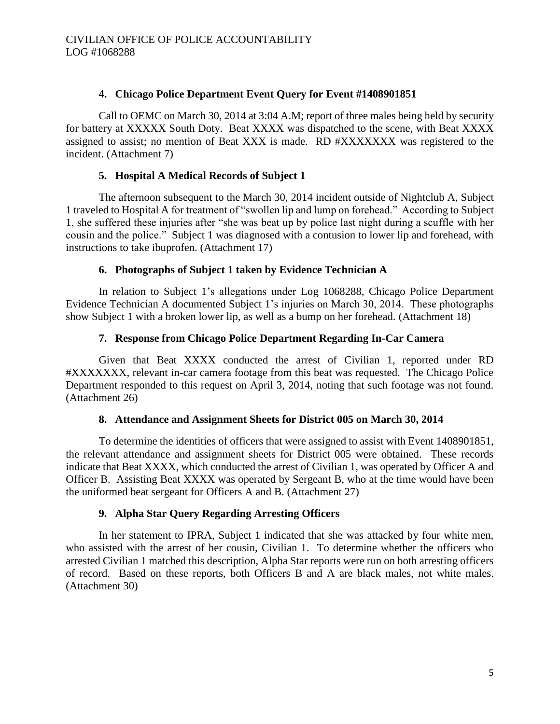## **4. Chicago Police Department Event Query for Event #1408901851**

Call to OEMC on March 30, 2014 at 3:04 A.M; report of three males being held by security for battery at XXXXX South Doty. Beat XXXX was dispatched to the scene, with Beat XXXX assigned to assist; no mention of Beat XXX is made. RD #XXXXXXX was registered to the incident. (Attachment 7)

## **5. Hospital A Medical Records of Subject 1**

The afternoon subsequent to the March 30, 2014 incident outside of Nightclub A, Subject 1 traveled to Hospital A for treatment of "swollen lip and lump on forehead." According to Subject 1, she suffered these injuries after "she was beat up by police last night during a scuffle with her cousin and the police." Subject 1 was diagnosed with a contusion to lower lip and forehead, with instructions to take ibuprofen. (Attachment 17)

## **6. Photographs of Subject 1 taken by Evidence Technician A**

In relation to Subject 1's allegations under Log 1068288, Chicago Police Department Evidence Technician A documented Subject 1's injuries on March 30, 2014. These photographs show Subject 1 with a broken lower lip, as well as a bump on her forehead. (Attachment 18)

## **7. Response from Chicago Police Department Regarding In-Car Camera**

Given that Beat XXXX conducted the arrest of Civilian 1, reported under RD #XXXXXXX, relevant in-car camera footage from this beat was requested. The Chicago Police Department responded to this request on April 3, 2014, noting that such footage was not found. (Attachment 26)

### **8. Attendance and Assignment Sheets for District 005 on March 30, 2014**

To determine the identities of officers that were assigned to assist with Event 1408901851, the relevant attendance and assignment sheets for District 005 were obtained. These records indicate that Beat XXXX, which conducted the arrest of Civilian 1, was operated by Officer A and Officer B. Assisting Beat XXXX was operated by Sergeant B, who at the time would have been the uniformed beat sergeant for Officers A and B. (Attachment 27)

### **9. Alpha Star Query Regarding Arresting Officers**

In her statement to IPRA, Subject 1 indicated that she was attacked by four white men, who assisted with the arrest of her cousin, Civilian 1. To determine whether the officers who arrested Civilian 1 matched this description, Alpha Star reports were run on both arresting officers of record. Based on these reports, both Officers B and A are black males, not white males. (Attachment 30)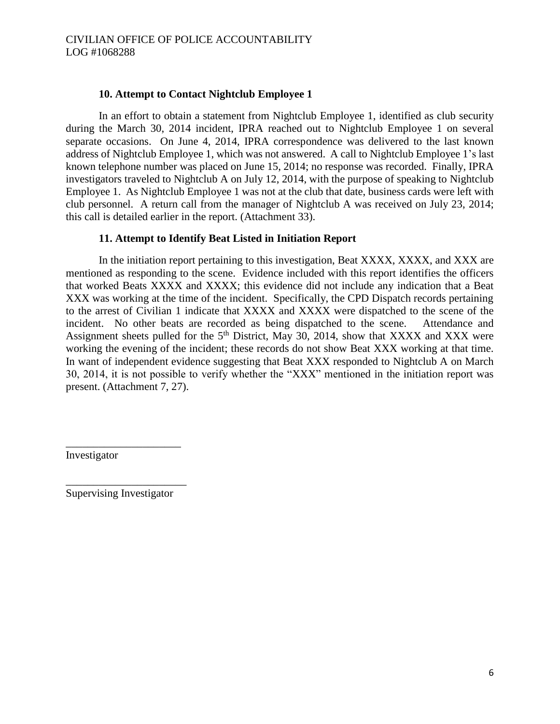### **10. Attempt to Contact Nightclub Employee 1**

In an effort to obtain a statement from Nightclub Employee 1, identified as club security during the March 30, 2014 incident, IPRA reached out to Nightclub Employee 1 on several separate occasions. On June 4, 2014, IPRA correspondence was delivered to the last known address of Nightclub Employee 1, which was not answered. A call to Nightclub Employee 1's last known telephone number was placed on June 15, 2014; no response was recorded. Finally, IPRA investigators traveled to Nightclub A on July 12, 2014, with the purpose of speaking to Nightclub Employee 1. As Nightclub Employee 1 was not at the club that date, business cards were left with club personnel. A return call from the manager of Nightclub A was received on July 23, 2014; this call is detailed earlier in the report. (Attachment 33).

## **11. Attempt to Identify Beat Listed in Initiation Report**

In the initiation report pertaining to this investigation, Beat XXXX, XXXX, and XXX are mentioned as responding to the scene. Evidence included with this report identifies the officers that worked Beats XXXX and XXXX; this evidence did not include any indication that a Beat XXX was working at the time of the incident. Specifically, the CPD Dispatch records pertaining to the arrest of Civilian 1 indicate that XXXX and XXXX were dispatched to the scene of the incident. No other beats are recorded as being dispatched to the scene. Attendance and Assignment sheets pulled for the  $5<sup>th</sup>$  District, May 30, 2014, show that XXXX and XXX were working the evening of the incident; these records do not show Beat XXX working at that time. In want of independent evidence suggesting that Beat XXX responded to Nightclub A on March 30, 2014, it is not possible to verify whether the "XXX" mentioned in the initiation report was present. (Attachment 7, 27).

Investigator

\_\_\_\_\_\_\_\_\_\_\_\_\_\_\_\_\_\_\_\_\_\_ Supervising Investigator

\_\_\_\_\_\_\_\_\_\_\_\_\_\_\_\_\_\_\_\_\_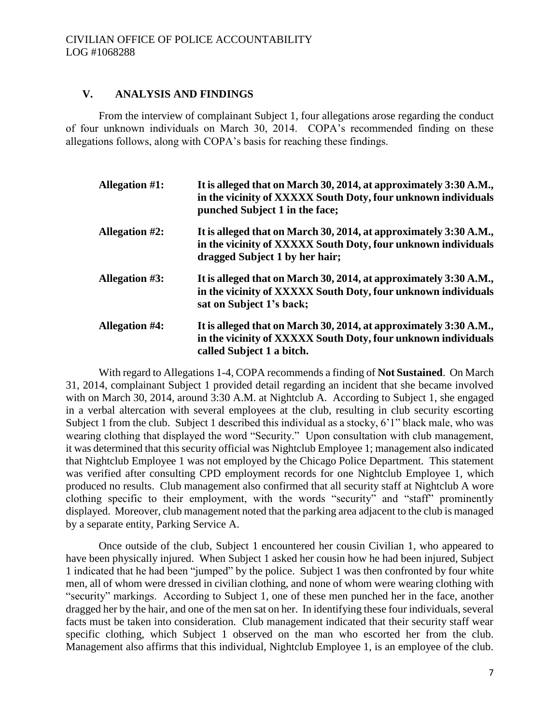## **V. ANALYSIS AND FINDINGS**

From the interview of complainant Subject 1, four allegations arose regarding the conduct of four unknown individuals on March 30, 2014. COPA's recommended finding on these allegations follows, along with COPA's basis for reaching these findings.

| Allegation $#1$ :     | It is alleged that on March 30, 2014, at approximately 3:30 A.M.,<br>in the vicinity of XXXXX South Doty, four unknown individuals<br>punched Subject 1 in the face; |
|-----------------------|----------------------------------------------------------------------------------------------------------------------------------------------------------------------|
| <b>Allegation #2:</b> | It is alleged that on March 30, 2014, at approximately 3:30 A.M.,<br>in the vicinity of XXXXX South Doty, four unknown individuals<br>dragged Subject 1 by her hair; |
| <b>Allegation #3:</b> | It is alleged that on March 30, 2014, at approximately 3:30 A.M.,<br>in the vicinity of XXXXX South Doty, four unknown individuals<br>sat on Subject 1's back;       |
| <b>Allegation #4:</b> | It is alleged that on March 30, 2014, at approximately 3:30 A.M.,<br>in the vicinity of XXXXX South Doty, four unknown individuals<br>called Subject 1 a bitch.      |

With regard to Allegations 1-4, COPA recommends a finding of **Not Sustained**. On March 31, 2014, complainant Subject 1 provided detail regarding an incident that she became involved with on March 30, 2014, around 3:30 A.M. at Nightclub A. According to Subject 1, she engaged in a verbal altercation with several employees at the club, resulting in club security escorting Subject 1 from the club. Subject 1 described this individual as a stocky, 6'1" black male, who was wearing clothing that displayed the word "Security." Upon consultation with club management, it was determined that this security official was Nightclub Employee 1; management also indicated that Nightclub Employee 1 was not employed by the Chicago Police Department. This statement was verified after consulting CPD employment records for one Nightclub Employee 1, which produced no results. Club management also confirmed that all security staff at Nightclub A wore clothing specific to their employment, with the words "security" and "staff" prominently displayed. Moreover, club management noted that the parking area adjacent to the club is managed by a separate entity, Parking Service A.

Once outside of the club, Subject 1 encountered her cousin Civilian 1, who appeared to have been physically injured. When Subject 1 asked her cousin how he had been injured, Subject 1 indicated that he had been "jumped" by the police. Subject 1 was then confronted by four white men, all of whom were dressed in civilian clothing, and none of whom were wearing clothing with "security" markings. According to Subject 1, one of these men punched her in the face, another dragged her by the hair, and one of the men sat on her. In identifying these four individuals, several facts must be taken into consideration. Club management indicated that their security staff wear specific clothing, which Subject 1 observed on the man who escorted her from the club. Management also affirms that this individual, Nightclub Employee 1, is an employee of the club.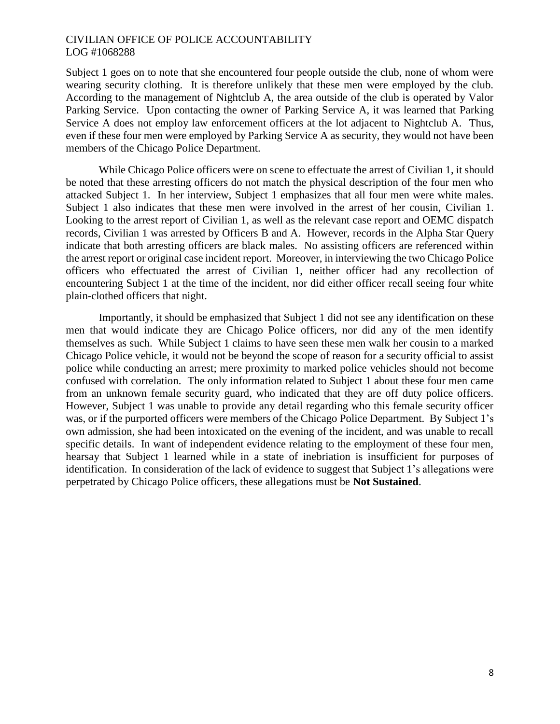Subject 1 goes on to note that she encountered four people outside the club, none of whom were wearing security clothing. It is therefore unlikely that these men were employed by the club. According to the management of Nightclub A, the area outside of the club is operated by Valor Parking Service. Upon contacting the owner of Parking Service A, it was learned that Parking Service A does not employ law enforcement officers at the lot adjacent to Nightclub A. Thus, even if these four men were employed by Parking Service A as security, they would not have been members of the Chicago Police Department.

While Chicago Police officers were on scene to effectuate the arrest of Civilian 1, it should be noted that these arresting officers do not match the physical description of the four men who attacked Subject 1. In her interview, Subject 1 emphasizes that all four men were white males. Subject 1 also indicates that these men were involved in the arrest of her cousin, Civilian 1. Looking to the arrest report of Civilian 1, as well as the relevant case report and OEMC dispatch records, Civilian 1 was arrested by Officers B and A. However, records in the Alpha Star Query indicate that both arresting officers are black males. No assisting officers are referenced within the arrest report or original case incident report. Moreover, in interviewing the two Chicago Police officers who effectuated the arrest of Civilian 1, neither officer had any recollection of encountering Subject 1 at the time of the incident, nor did either officer recall seeing four white plain-clothed officers that night.

Importantly, it should be emphasized that Subject 1 did not see any identification on these men that would indicate they are Chicago Police officers, nor did any of the men identify themselves as such. While Subject 1 claims to have seen these men walk her cousin to a marked Chicago Police vehicle, it would not be beyond the scope of reason for a security official to assist police while conducting an arrest; mere proximity to marked police vehicles should not become confused with correlation. The only information related to Subject 1 about these four men came from an unknown female security guard, who indicated that they are off duty police officers. However, Subject 1 was unable to provide any detail regarding who this female security officer was, or if the purported officers were members of the Chicago Police Department. By Subject 1's own admission, she had been intoxicated on the evening of the incident, and was unable to recall specific details. In want of independent evidence relating to the employment of these four men, hearsay that Subject 1 learned while in a state of inebriation is insufficient for purposes of identification. In consideration of the lack of evidence to suggest that Subject 1's allegations were perpetrated by Chicago Police officers, these allegations must be **Not Sustained**.